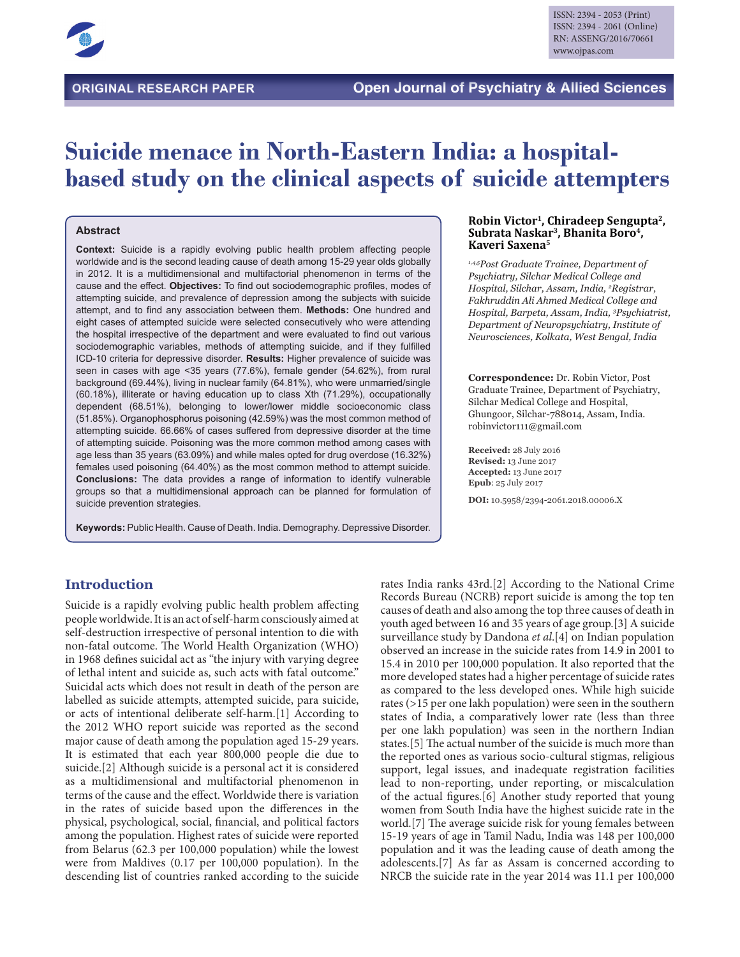

# **Suicide menace in North-Eastern India: a hospitalbased study on the clinical aspects of suicide attempters**

### **Abstract**

**Context:** Suicide is a rapidly evolving public health problem affecting people worldwide and is the second leading cause of death among 15-29 year olds globally in 2012. It is a multidimensional and multifactorial phenomenon in terms of the cause and the effect. **Objectives:** To find out sociodemographic profiles, modes of attempting suicide, and prevalence of depression among the subjects with suicide attempt, and to find any association between them. **Methods:** One hundred and eight cases of attempted suicide were selected consecutively who were attending the hospital irrespective of the department and were evaluated to find out various sociodemographic variables, methods of attempting suicide, and if they fulfilled ICD-10 criteria for depressive disorder. **Results:** Higher prevalence of suicide was seen in cases with age <35 years (77.6%), female gender (54.62%), from rural background (69.44%), living in nuclear family (64.81%), who were unmarried/single (60.18%), illiterate or having education up to class Xth (71.29%), occupationally dependent (68.51%), belonging to lower/lower middle socioeconomic class (51.85%). Organophosphorus poisoning (42.59%) was the most common method of attempting suicide. 66.66% of cases suffered from depressive disorder at the time of attempting suicide. Poisoning was the more common method among cases with age less than 35 years (63.09%) and while males opted for drug overdose (16.32%) females used poisoning (64.40%) as the most common method to attempt suicide. **Conclusions:** The data provides a range of information to identify vulnerable groups so that a multidimensional approach can be planned for formulation of suicide prevention strategies.

**Keywords:** Public Health. Cause of Death. India. Demography. Depressive Disorder.

#### **Robin Victor1, Chiradeep Sengupta2, Subrata Naskar3, Bhanita Boro4, Kaveri Saxena5**

*1,4,5Post Graduate Trainee, Department of Psychiatry, Silchar Medical College and Hospital, Silchar, Assam, India, 2 Registrar, Fakhruddin Ali Ahmed Medical College and Hospital, Barpeta, Assam, India, 3 Psychiatrist, Department of Neuropsychiatry, Institute of Neurosciences, Kolkata, West Bengal, India*

**Correspondence:** Dr. Robin Victor, Post Graduate Trainee, Department of Psychiatry, Silchar Medical College and Hospital, Ghungoor, Silchar-788014, Assam, India. robinvictor111@gmail.com

**Received:** 28 July 2016 **Revised:** 13 June 2017 **Accepted:** 13 June 2017 **Epub**: 25 July 2017

**DOI:** 10.5958/2394-2061.2018.00006.X

## **Introduction**

Suicide is a rapidly evolving public health problem affecting people worldwide. It is an act of self-harm consciously aimed at self-destruction irrespective of personal intention to die with non-fatal outcome. The World Health Organization (WHO) in 1968 defines suicidal act as "the injury with varying degree of lethal intent and suicide as, such acts with fatal outcome." Suicidal acts which does not result in death of the person are labelled as suicide attempts, attempted suicide, para suicide, or acts of intentional deliberate self-harm.[1] According to the 2012 WHO report suicide was reported as the second major cause of death among the population aged 15-29 years. It is estimated that each year 800,000 people die due to suicide.[2] Although suicide is a personal act it is considered as a multidimensional and multifactorial phenomenon in terms of the cause and the effect. Worldwide there is variation in the rates of suicide based upon the differences in the physical, psychological, social, financial, and political factors among the population. Highest rates of suicide were reported from Belarus (62.3 per 100,000 population) while the lowest were from Maldives (0.17 per 100,000 population). In the descending list of countries ranked according to the suicide

rates India ranks 43rd.[2] According to the National Crime Records Bureau (NCRB) report suicide is among the top ten causes of death and also among the top three causes of death in youth aged between 16 and 35 years of age group.[3] A suicide surveillance study by Dandona *et al*.[4] on Indian population observed an increase in the suicide rates from 14.9 in 2001 to 15.4 in 2010 per 100,000 population. It also reported that the more developed states had a higher percentage of suicide rates as compared to the less developed ones. While high suicide rates (>15 per one lakh population) were seen in the southern states of India, a comparatively lower rate (less than three per one lakh population) was seen in the northern Indian states.[5] The actual number of the suicide is much more than the reported ones as various socio-cultural stigmas, religious support, legal issues, and inadequate registration facilities lead to non-reporting, under reporting, or miscalculation of the actual figures.[6] Another study reported that young women from South India have the highest suicide rate in the world.[7] The average suicide risk for young females between 15-19 years of age in Tamil Nadu, India was 148 per 100,000 population and it was the leading cause of death among the adolescents.[7] As far as Assam is concerned according to NRCB the suicide rate in the year 2014 was 11.1 per 100,000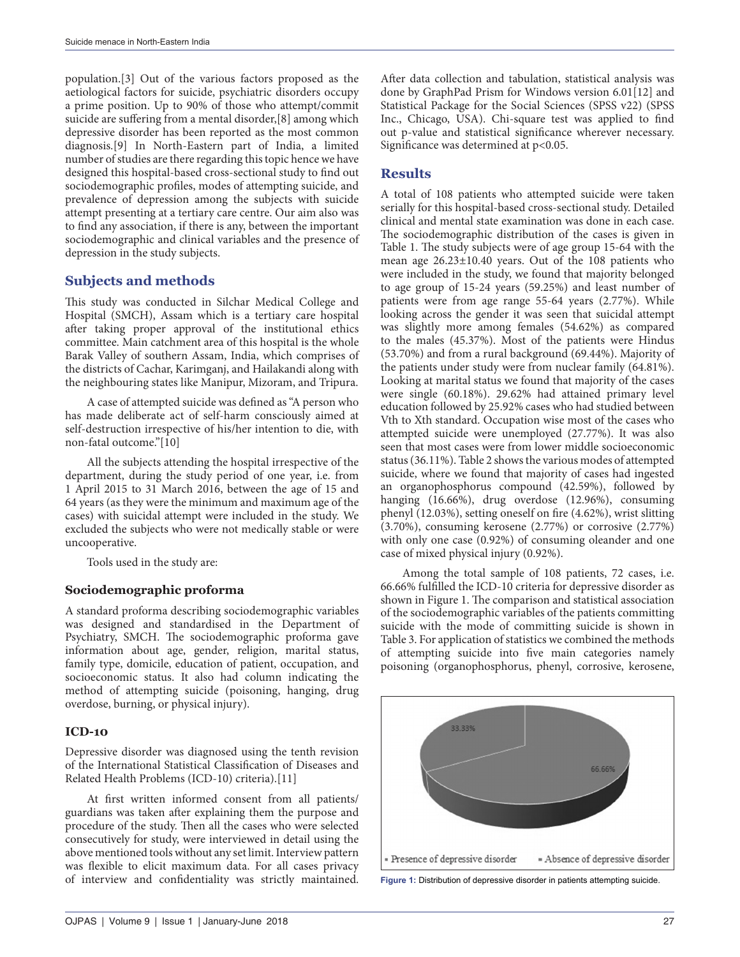population.[3] Out of the various factors proposed as the aetiological factors for suicide, psychiatric disorders occupy a prime position. Up to 90% of those who attempt/commit suicide are suffering from a mental disorder,[8] among which depressive disorder has been reported as the most common diagnosis.[9] In North-Eastern part of India, a limited number of studies are there regarding this topic hence we have designed this hospital-based cross-sectional study to find out sociodemographic profiles, modes of attempting suicide, and prevalence of depression among the subjects with suicide attempt presenting at a tertiary care centre. Our aim also was to find any association, if there is any, between the important sociodemographic and clinical variables and the presence of depression in the study subjects.

# **Subjects and methods**

This study was conducted in Silchar Medical College and Hospital (SMCH), Assam which is a tertiary care hospital after taking proper approval of the institutional ethics committee. Main catchment area of this hospital is the whole Barak Valley of southern Assam, India, which comprises of the districts of Cachar, Karimganj, and Hailakandi along with the neighbouring states like Manipur, Mizoram, and Tripura.

A case of attempted suicide was defined as "A person who has made deliberate act of self-harm consciously aimed at self-destruction irrespective of his/her intention to die, with non-fatal outcome."[10]

All the subjects attending the hospital irrespective of the department, during the study period of one year, i.e. from 1 April 2015 to 31 March 2016, between the age of 15 and 64 years (as they were the minimum and maximum age of the cases) with suicidal attempt were included in the study. We excluded the subjects who were not medically stable or were uncooperative.

Tools used in the study are:

# **Sociodemographic proforma**

A standard proforma describing sociodemographic variables was designed and standardised in the Department of Psychiatry, SMCH. The sociodemographic proforma gave information about age, gender, religion, marital status, family type, domicile, education of patient, occupation, and socioeconomic status. It also had column indicating the method of attempting suicide (poisoning, hanging, drug overdose, burning, or physical injury).

## **ICD-10**

Depressive disorder was diagnosed using the tenth revision of the International Statistical Classification of Diseases and Related Health Problems (ICD-10) criteria).[11]

At first written informed consent from all patients/ guardians was taken after explaining them the purpose and procedure of the study. Then all the cases who were selected consecutively for study, were interviewed in detail using the above mentioned tools without any set limit. Interview pattern was flexible to elicit maximum data. For all cases privacy of interview and confidentiality was strictly maintained.

After data collection and tabulation, statistical analysis was done by GraphPad Prism for Windows version 6.01[12] and Statistical Package for the Social Sciences (SPSS v22) (SPSS Inc., Chicago, USA). Chi-square test was applied to find out p-value and statistical significance wherever necessary. Significance was determined at p<0.05.

## **Results**

A total of 108 patients who attempted suicide were taken serially for this hospital-based cross-sectional study. Detailed clinical and mental state examination was done in each case. The sociodemographic distribution of the cases is given in Table 1. The study subjects were of age group 15-64 with the mean age 26.23±10.40 years. Out of the 108 patients who were included in the study, we found that majority belonged to age group of 15-24 years (59.25%) and least number of patients were from age range 55-64 years (2.77%). While looking across the gender it was seen that suicidal attempt was slightly more among females (54.62%) as compared to the males (45.37%). Most of the patients were Hindus (53.70%) and from a rural background (69.44%). Majority of the patients under study were from nuclear family (64.81%). Looking at marital status we found that majority of the cases were single (60.18%). 29.62% had attained primary level education followed by 25.92% cases who had studied between Vth to Xth standard. Occupation wise most of the cases who attempted suicide were unemployed (27.77%). It was also seen that most cases were from lower middle socioeconomic status (36.11%). Table 2 shows the various modes of attempted suicide, where we found that majority of cases had ingested an organophosphorus compound (42.59%), followed by hanging (16.66%), drug overdose (12.96%), consuming phenyl (12.03%), setting oneself on fire (4.62%), wrist slitting (3.70%), consuming kerosene (2.77%) or corrosive (2.77%) with only one case (0.92%) of consuming oleander and one case of mixed physical injury (0.92%).

Among the total sample of 108 patients, 72 cases, i.e. 66.66% fulfilled the ICD-10 criteria for depressive disorder as shown in Figure 1. The comparison and statistical association of the sociodemographic variables of the patients committing suicide with the mode of committing suicide is shown in Table 3. For application of statistics we combined the methods of attempting suicide into five main categories namely poisoning (organophosphorus, phenyl, corrosive, kerosene,



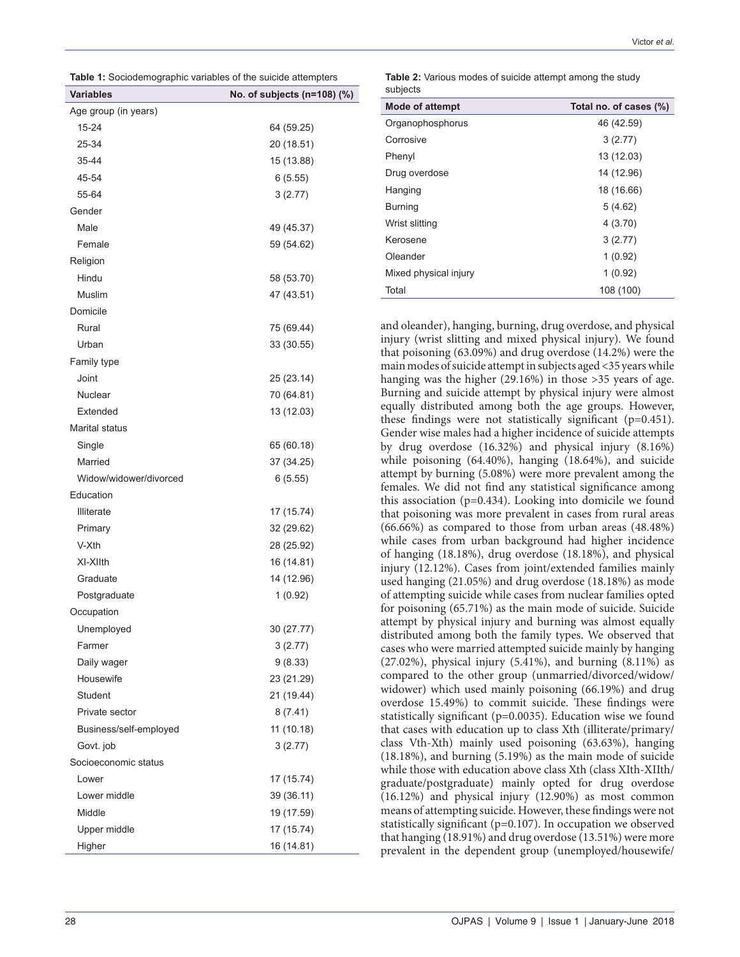|  | <b>Table 1:</b> Sociodemographic variables of the suicide attempters |  |  |
|--|----------------------------------------------------------------------|--|--|

| <b>Variables</b>       | No. of subjects (n=108) (%) |
|------------------------|-----------------------------|
| Age group (in years)   |                             |
| 15-24                  | 64 (59.25)                  |
| 25-34                  | 20 (18.51)                  |
| 35-44                  | 15 (13.88)                  |
| 45-54                  | 6(5.55)                     |
| 55-64                  | 3(2.77)                     |
| Gender                 |                             |
| Male                   | 49 (45.37)                  |
| Female                 | 59 (54.62)                  |
| Religion               |                             |
| Hindu                  | 58 (53.70)                  |
| Muslim                 | 47 (43.51)                  |
| Domicile               |                             |
| Rural                  | 75 (69.44)                  |
| Urban                  | 33 (30.55)                  |
| Family type            |                             |
| Joint                  | 25 (23.14)                  |
| <b>Nuclear</b>         | 70 (64.81)                  |
| Extended               | 13 (12.03)                  |
| Marital status         |                             |
| Single                 | 65 (60.18)                  |
| Married                | 37 (34.25)                  |
| Widow/widower/divorced | 6(5.55)                     |
| Education              |                             |
| <b>Illiterate</b>      | 17 (15.74)                  |
| Primary                | 32 (29.62)                  |
| V-Xth                  | 28 (25.92)                  |
| XI-XIIth               | 16 (14.81)                  |
| Graduate               | 14 (12.96)                  |
| Postgraduate           | 1(0.92)                     |
| Occupation             |                             |
| Unemployed             | 30 (27.77)                  |
| Farmer                 | 3(2.77)                     |
| Daily wager            | 9(8.33)                     |
| Housewife              | 23 (21.29)                  |
| Student                | 21 (19.44)                  |
| Private sector         | 8(7.41)                     |
| Business/self-employed | 11 (10.18)                  |
| Govt. job              | 3(2.77)                     |
| Socioeconomic status   |                             |
| Lower                  | 17 (15.74)                  |
| Lower middle           | 39 (36.11)                  |
| Middle                 | 19 (17.59)                  |
| Upper middle           | 17 (15.74)                  |
| Higher                 | 16 (14.81)                  |
|                        |                             |

| งนมเงเง                |                        |
|------------------------|------------------------|
| <b>Mode of attempt</b> | Total no. of cases (%) |
| Organophosphorus       | 46 (42.59)             |
| Corrosive              | 3(2.77)                |
| Phenyl                 | 13 (12.03)             |
| Drug overdose          | 14 (12.96)             |
| Hanging                | 18 (16.66)             |
| <b>Burning</b>         | 5(4.62)                |
| Wrist slitting         | 4(3.70)                |
| Kerosene               | 3(2.77)                |
| Oleander               | 1(0.92)                |
| Mixed physical injury  | 1(0.92)                |
| Total                  | 108 (100)              |

**Table 2:** Various modes of suicide attempt among the study subjects

and oleander), hanging, burning, drug overdose, and physical injury (wrist slitting and mixed physical injury). We found that poisoning (63.09%) and drug overdose (14.2%) were the main modes of suicide attempt in subjects aged <35 years while hanging was the higher (29.16%) in those >35 years of age. Burning and suicide attempt by physical injury were almost equally distributed among both the age groups. However, these findings were not statistically significant (p=0.451). Gender wise males had a higher incidence of suicide attempts by drug overdose (16.32%) and physical injury (8.16%) while poisoning (64.40%), hanging (18.64%), and suicide attempt by burning (5.08%) were more prevalent among the females. We did not find any statistical significance among this association (p=0.434). Looking into domicile we found that poisoning was more prevalent in cases from rural areas (66.66%) as compared to those from urban areas (48.48%) while cases from urban background had higher incidence of hanging (18.18%), drug overdose (18.18%), and physical injury (12.12%). Cases from joint/extended families mainly used hanging (21.05%) and drug overdose (18.18%) as mode of attempting suicide while cases from nuclear families opted for poisoning (65.71%) as the main mode of suicide. Suicide attempt by physical injury and burning was almost equally distributed among both the family types. We observed that cases who were married attempted suicide mainly by hanging (27.02%), physical injury (5.41%), and burning (8.11%) as compared to the other group (unmarried/divorced/widow/ widower) which used mainly poisoning (66.19%) and drug overdose 15.49%) to commit suicide. These findings were statistically significant (p=0.0035). Education wise we found that cases with education up to class Xth (illiterate/primary/ class Vth-Xth) mainly used poisoning (63.63%), hanging (18.18%), and burning (5.19%) as the main mode of suicide while those with education above class Xth (class XIth-XIIth/ graduate/postgraduate) mainly opted for drug overdose (16.12%) and physical injury (12.90%) as most common means of attempting suicide. However, these findings were not statistically significant (p=0.107). In occupation we observed that hanging (18.91%) and drug overdose (13.51%) were more prevalent in the dependent group (unemployed/housewife/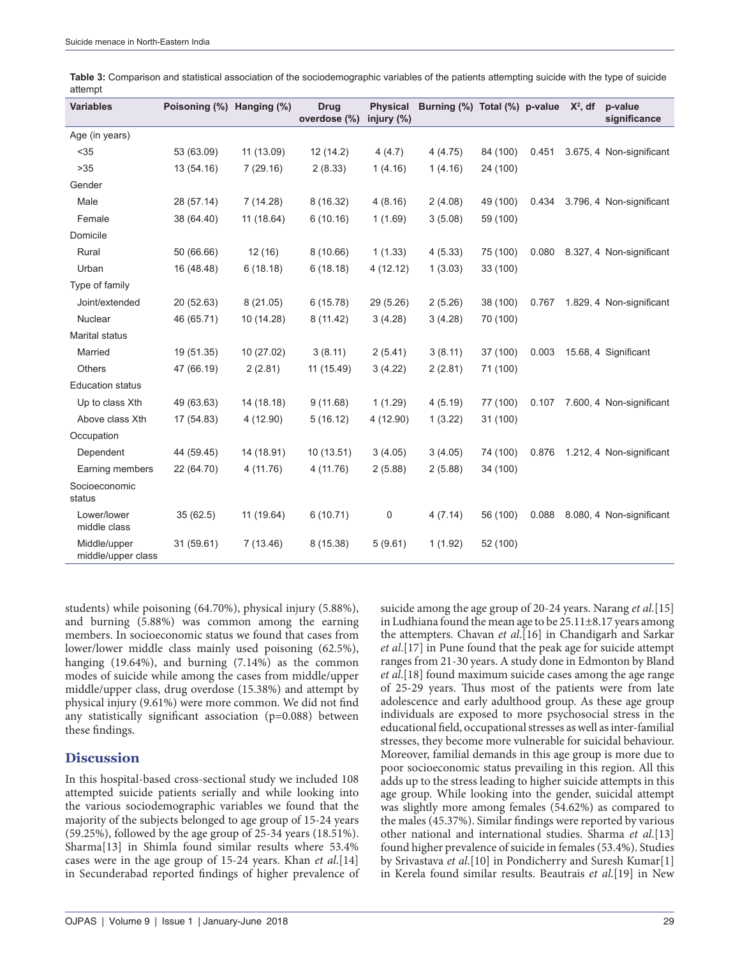| <b>Variables</b>                   | Poisoning (%) Hanging (%) |            | <b>Drug</b><br>overdose (%) | <b>Physical</b><br>injury $(\%)$ | Burning (%) Total (%) p-value |          |       | $X^2$ , df | p-value<br>significance  |
|------------------------------------|---------------------------|------------|-----------------------------|----------------------------------|-------------------------------|----------|-------|------------|--------------------------|
| Age (in years)                     |                           |            |                             |                                  |                               |          |       |            |                          |
| $35$                               | 53 (63.09)                | 11 (13.09) | 12(14.2)                    | 4(4.7)                           | 4(4.75)                       | 84 (100) | 0.451 |            | 3.675, 4 Non-significant |
| >35                                | 13 (54.16)                | 7(29.16)   | 2(8.33)                     | 1(4.16)                          | 1(4.16)                       | 24 (100) |       |            |                          |
| Gender                             |                           |            |                             |                                  |                               |          |       |            |                          |
| Male                               | 28 (57.14)                | 7(14.28)   | 8 (16.32)                   | 4(8.16)                          | 2(4.08)                       | 49 (100) | 0.434 |            | 3.796, 4 Non-significant |
| Female                             | 38 (64.40)                | 11 (18.64) | 6(10.16)                    | 1(1.69)                          | 3(5.08)                       | 59 (100) |       |            |                          |
| Domicile                           |                           |            |                             |                                  |                               |          |       |            |                          |
| Rural                              | 50 (66.66)                | 12(16)     | 8(10.66)                    | 1(1.33)                          | 4(5.33)                       | 75 (100) | 0.080 |            | 8.327, 4 Non-significant |
| Urban                              | 16 (48.48)                | 6(18.18)   | 6(18.18)                    | 4(12.12)                         | 1(3.03)                       | 33 (100) |       |            |                          |
| Type of family                     |                           |            |                             |                                  |                               |          |       |            |                          |
| Joint/extended                     | 20 (52.63)                | 8(21.05)   | 6(15.78)                    | 29 (5.26)                        | 2(5.26)                       | 38 (100) | 0.767 |            | 1.829, 4 Non-significant |
| Nuclear                            | 46 (65.71)                | 10 (14.28) | 8(11.42)                    | 3(4.28)                          | 3(4.28)                       | 70 (100) |       |            |                          |
| <b>Marital status</b>              |                           |            |                             |                                  |                               |          |       |            |                          |
| Married                            | 19 (51.35)                | 10 (27.02) | 3(8.11)                     | 2(5.41)                          | 3(8.11)                       | 37 (100) | 0.003 |            | 15.68, 4 Significant     |
| <b>Others</b>                      | 47 (66.19)                | 2(2.81)    | 11 (15.49)                  | 3(4.22)                          | 2(2.81)                       | 71 (100) |       |            |                          |
| <b>Education status</b>            |                           |            |                             |                                  |                               |          |       |            |                          |
| Up to class Xth                    | 49 (63.63)                | 14 (18.18) | 9(11.68)                    | 1(1.29)                          | 4(5.19)                       | 77 (100) | 0.107 |            | 7.600, 4 Non-significant |
| Above class Xth                    | 17 (54.83)                | 4(12.90)   | 5(16.12)                    | 4 (12.90)                        | 1(3.22)                       | 31 (100) |       |            |                          |
| Occupation                         |                           |            |                             |                                  |                               |          |       |            |                          |
| Dependent                          | 44 (59.45)                | 14 (18.91) | 10 (13.51)                  | 3(4.05)                          | 3(4.05)                       | 74 (100) | 0.876 |            | 1.212, 4 Non-significant |
| Earning members                    | 22 (64.70)                | 4 (11.76)  | 4(11.76)                    | 2(5.88)                          | 2(5.88)                       | 34 (100) |       |            |                          |
| Socioeconomic<br>status            |                           |            |                             |                                  |                               |          |       |            |                          |
| Lower/lower<br>middle class        | 35(62.5)                  | 11 (19.64) | 6(10.71)                    | 0                                | 4(7.14)                       | 56 (100) | 0.088 |            | 8.080, 4 Non-significant |
| Middle/upper<br>middle/upper class | 31 (59.61)                | 7(13.46)   | 8 (15.38)                   | 5(9.61)                          | 1(1.92)                       | 52 (100) |       |            |                          |

**Table 3:** Comparison and statistical association of the sociodemographic variables of the patients attempting suicide with the type of suicide attempt

students) while poisoning (64.70%), physical injury (5.88%), and burning (5.88%) was common among the earning members. In socioeconomic status we found that cases from lower/lower middle class mainly used poisoning (62.5%), hanging (19.64%), and burning (7.14%) as the common modes of suicide while among the cases from middle/upper middle/upper class, drug overdose (15.38%) and attempt by physical injury (9.61%) were more common. We did not find any statistically significant association (p=0.088) between these findings.

## **Discussion**

In this hospital-based cross-sectional study we included 108 attempted suicide patients serially and while looking into the various sociodemographic variables we found that the majority of the subjects belonged to age group of 15-24 years (59.25%), followed by the age group of 25-34 years (18.51%). Sharma[13] in Shimla found similar results where 53.4% cases were in the age group of 15-24 years. Khan *et al*.[14] in Secunderabad reported findings of higher prevalence of suicide among the age group of 20-24 years. Narang *et al*.[15] in Ludhiana found the mean age to be  $25.11\pm8.17$  years among the attempters. Chavan *et al*.[16] in Chandigarh and Sarkar *et al*.[17] in Pune found that the peak age for suicide attempt ranges from 21-30 years. A study done in Edmonton by Bland *et al*.[18] found maximum suicide cases among the age range of 25-29 years. Thus most of the patients were from late adolescence and early adulthood group. As these age group individuals are exposed to more psychosocial stress in the educational field, occupational stresses as well as inter-familial stresses, they become more vulnerable for suicidal behaviour. Moreover, familial demands in this age group is more due to poor socioeconomic status prevailing in this region. All this adds up to the stress leading to higher suicide attempts in this age group. While looking into the gender, suicidal attempt was slightly more among females (54.62%) as compared to the males (45.37%). Similar findings were reported by various other national and international studies. Sharma *et al*.[13] found higher prevalence of suicide in females (53.4%). Studies by Srivastava *et al*.[10] in Pondicherry and Suresh Kumar[1] in Kerela found similar results. Beautrais *et al*.[19] in New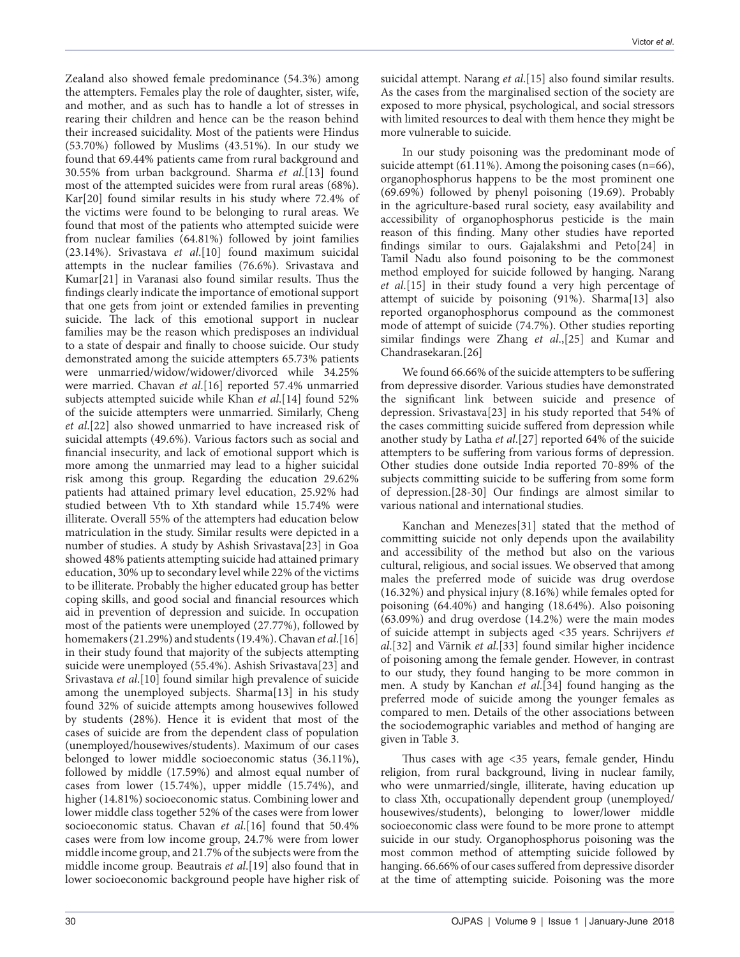Zealand also showed female predominance (54.3%) among the attempters. Females play the role of daughter, sister, wife, and mother, and as such has to handle a lot of stresses in rearing their children and hence can be the reason behind their increased suicidality. Most of the patients were Hindus (53.70%) followed by Muslims (43.51%). In our study we found that 69.44% patients came from rural background and 30.55% from urban background. Sharma *et al*.[13] found most of the attempted suicides were from rural areas (68%). Kar[20] found similar results in his study where 72.4% of the victims were found to be belonging to rural areas. We found that most of the patients who attempted suicide were from nuclear families (64.81%) followed by joint families (23.14%). Srivastava *et al*.[10] found maximum suicidal attempts in the nuclear families (76.6%). Srivastava and Kumar[21] in Varanasi also found similar results. Thus the findings clearly indicate the importance of emotional support that one gets from joint or extended families in preventing suicide. The lack of this emotional support in nuclear families may be the reason which predisposes an individual to a state of despair and finally to choose suicide. Our study demonstrated among the suicide attempters 65.73% patients were unmarried/widow/widower/divorced while 34.25% were married. Chavan *et al*.[16] reported 57.4% unmarried subjects attempted suicide while Khan *et al*.[14] found 52% of the suicide attempters were unmarried. Similarly, Cheng *et al*.[22] also showed unmarried to have increased risk of suicidal attempts (49.6%). Various factors such as social and financial insecurity, and lack of emotional support which is more among the unmarried may lead to a higher suicidal risk among this group. Regarding the education 29.62% patients had attained primary level education, 25.92% had studied between Vth to Xth standard while 15.74% were illiterate. Overall 55% of the attempters had education below matriculation in the study. Similar results were depicted in a number of studies. A study by Ashish Srivastava[23] in Goa showed 48% patients attempting suicide had attained primary education, 30% up to secondary level while 22% of the victims to be illiterate. Probably the higher educated group has better coping skills, and good social and financial resources which aid in prevention of depression and suicide. In occupation most of the patients were unemployed (27.77%), followed by homemakers (21.29%) and students (19.4%). Chavan *et al*.[16] in their study found that majority of the subjects attempting suicide were unemployed (55.4%). Ashish Srivastava[23] and Srivastava *et al*.[10] found similar high prevalence of suicide among the unemployed subjects. Sharma[13] in his study found 32% of suicide attempts among housewives followed by students (28%). Hence it is evident that most of the cases of suicide are from the dependent class of population (unemployed/housewives/students). Maximum of our cases belonged to lower middle socioeconomic status (36.11%), followed by middle (17.59%) and almost equal number of cases from lower (15.74%), upper middle (15.74%), and higher (14.81%) socioeconomic status. Combining lower and lower middle class together 52% of the cases were from lower socioeconomic status. Chavan *et al*.[16] found that 50.4% cases were from low income group, 24.7% were from lower middle income group, and 21.7% of the subjects were from the middle income group. Beautrais *et al*.[19] also found that in lower socioeconomic background people have higher risk of

suicidal attempt. Narang *et al*.[15] also found similar results. As the cases from the marginalised section of the society are exposed to more physical, psychological, and social stressors with limited resources to deal with them hence they might be more vulnerable to suicide.

In our study poisoning was the predominant mode of suicide attempt (61.11%). Among the poisoning cases (n=66), organophosphorus happens to be the most prominent one (69.69%) followed by phenyl poisoning (19.69). Probably in the agriculture-based rural society, easy availability and accessibility of organophosphorus pesticide is the main reason of this finding. Many other studies have reported findings similar to ours. Gajalakshmi and Peto[24] in Tamil Nadu also found poisoning to be the commonest method employed for suicide followed by hanging. Narang *et al*.[15] in their study found a very high percentage of attempt of suicide by poisoning (91%). Sharma[13] also reported organophosphorus compound as the commonest mode of attempt of suicide (74.7%). Other studies reporting similar findings were Zhang *et al*.,[25] and Kumar and Chandrasekaran.[26]

We found 66.66% of the suicide attempters to be suffering from depressive disorder. Various studies have demonstrated the significant link between suicide and presence of depression. Srivastava[23] in his study reported that 54% of the cases committing suicide suffered from depression while another study by Latha *et al*.[27] reported 64% of the suicide attempters to be suffering from various forms of depression. Other studies done outside India reported 70-89% of the subjects committing suicide to be suffering from some form of depression.[28-30] Our findings are almost similar to various national and international studies.

Kanchan and Menezes[31] stated that the method of committing suicide not only depends upon the availability and accessibility of the method but also on the various cultural, religious, and social issues. We observed that among males the preferred mode of suicide was drug overdose (16.32%) and physical injury (8.16%) while females opted for poisoning (64.40%) and hanging (18.64%). Also poisoning (63.09%) and drug overdose (14.2%) were the main modes of suicide attempt in subjects aged <35 years. Schrijvers *et al*.[32] and Värnik *et al*.[33] found similar higher incidence of poisoning among the female gender. However, in contrast to our study, they found hanging to be more common in men. A study by Kanchan *et al*.[34] found hanging as the preferred mode of suicide among the younger females as compared to men. Details of the other associations between the sociodemographic variables and method of hanging are given in Table 3.

Thus cases with age <35 years, female gender, Hindu religion, from rural background, living in nuclear family, who were unmarried/single, illiterate, having education up to class Xth, occupationally dependent group (unemployed/ housewives/students), belonging to lower/lower middle socioeconomic class were found to be more prone to attempt suicide in our study. Organophosphorus poisoning was the most common method of attempting suicide followed by hanging. 66.66% of our cases suffered from depressive disorder at the time of attempting suicide. Poisoning was the more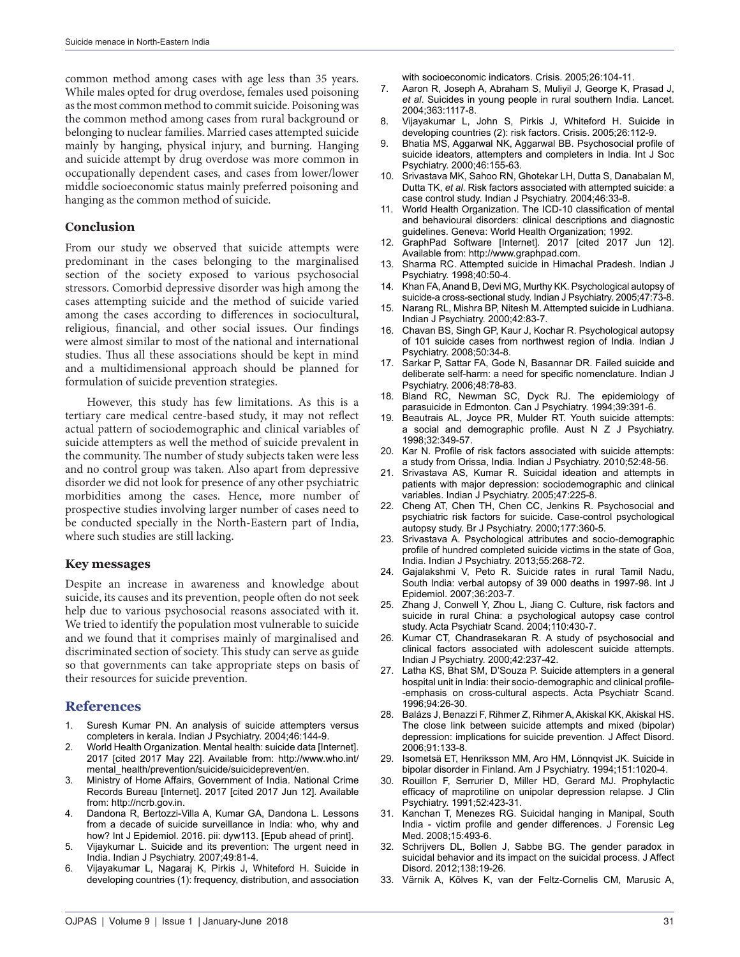common method among cases with age less than 35 years. While males opted for drug overdose, females used poisoning as the most common method to commit suicide. Poisoning was the common method among cases from rural background or belonging to nuclear families. Married cases attempted suicide mainly by hanging, physical injury, and burning. Hanging and suicide attempt by drug overdose was more common in occupationally dependent cases, and cases from lower/lower middle socioeconomic status mainly preferred poisoning and hanging as the common method of suicide.

### **Conclusion**

From our study we observed that suicide attempts were predominant in the cases belonging to the marginalised section of the society exposed to various psychosocial stressors. Comorbid depressive disorder was high among the cases attempting suicide and the method of suicide varied among the cases according to differences in sociocultural, religious, financial, and other social issues. Our findings were almost similar to most of the national and international studies. Thus all these associations should be kept in mind and a multidimensional approach should be planned for formulation of suicide prevention strategies.

However, this study has few limitations. As this is a tertiary care medical centre-based study, it may not reflect actual pattern of sociodemographic and clinical variables of suicide attempters as well the method of suicide prevalent in the community. The number of study subjects taken were less and no control group was taken. Also apart from depressive disorder we did not look for presence of any other psychiatric morbidities among the cases. Hence, more number of prospective studies involving larger number of cases need to be conducted specially in the North-Eastern part of India, where such studies are still lacking.

### **Key messages**

Despite an increase in awareness and knowledge about suicide, its causes and its prevention, people often do not seek help due to various psychosocial reasons associated with it. We tried to identify the population most vulnerable to suicide and we found that it comprises mainly of marginalised and discriminated section of society. This study can serve as guide so that governments can take appropriate steps on basis of their resources for suicide prevention.

#### **References**

- 1. Suresh Kumar PN. An analysis of suicide attempters versus completers in kerala. Indian J Psychiatry. 2004;46:144-9.
- 2. World Health Organization. Mental health: suicide data [Internet]. 2017 [cited 2017 May 22]. Available from: http://www.who.int/ mental\_health/prevention/suicide/suicideprevent/en.
- 3. Ministry of Home Affairs, Government of India. National Crime Records Bureau [Internet]. 2017 [cited 2017 Jun 12]. Available from: http://ncrb.gov.in.
- Dandona R, Bertozzi-Villa A, Kumar GA, Dandona L. Lessons from a decade of suicide surveillance in India: who, why and how? Int J Epidemiol. 2016. pii: dyw113. [Epub ahead of print].
- 5. Vijaykumar L. Suicide and its prevention: The urgent need in India. Indian J Psychiatry. 2007;49:81-4.
- 6. Vijayakumar L, Nagaraj K, Pirkis J, Whiteford H. Suicide in developing countries (1): frequency, distribution, and association

with socioeconomic indicators. Crisis. 2005;26:104-11.

- 7. Aaron R, Joseph A, Abraham S, Muliyil J, George K, Prasad J, *et al*. Suicides in young people in rural southern India. Lancet. 2004;363:1117-8.
- 8. Vijayakumar L, John S, Pirkis J, Whiteford H. Suicide in developing countries (2): risk factors. Crisis. 2005;26:112-9.
- 9. Bhatia MS, Aggarwal NK, Aggarwal BB. Psychosocial profile of suicide ideators, attempters and completers in India. Int J Soc Psychiatry. 2000;46:155-63.
- 10. Srivastava MK, Sahoo RN, Ghotekar LH, Dutta S, Danabalan M, Dutta TK, *et al*. Risk factors associated with attempted suicide: a case control study. Indian J Psychiatry. 2004;46:33-8.
- 11. World Health Organization. The ICD-10 classification of mental and behavioural disorders: clinical descriptions and diagnostic guidelines. Geneva: World Health Organization; 1992.
- 12. GraphPad Software [Internet]. 2017 [cited 2017 Jun 12]. Available from: http://www.graphpad.com.
- 13. Sharma RC. Attempted suicide in Himachal Pradesh. Indian J Psychiatry. 1998;40:50-4.
- 14. Khan FA, Anand B, Devi MG, Murthy KK. Psychological autopsy of suicide-a cross-sectional study. Indian J Psychiatry. 2005;47:73-8.
- 15. Narang RL, Mishra BP, Nitesh M. Attempted suicide in Ludhiana. Indian J Psychiatry. 2000;42:83-7.
- 16. Chavan BS, Singh GP, Kaur J, Kochar R. Psychological autopsy of 101 suicide cases from northwest region of India. Indian J Psychiatry. 2008;50:34-8.
- 17. Sarkar P, Sattar FA, Gode N, Basannar DR. Failed suicide and deliberate self-harm: a need for specific nomenclature. Indian J Psychiatry. 2006;48:78-83.
- 18. Bland RC, Newman SC, Dyck RJ. The epidemiology of parasuicide in Edmonton. Can J Psychiatry. 1994;39:391-6.
- 19. Beautrais AL, Joyce PR, Mulder RT. Youth suicide attempts: a social and demographic profile. Aust N Z J Psychiatry. 1998;32:349-57.
- 20. Kar N. Profile of risk factors associated with suicide attempts: a study from Orissa, India. Indian J Psychiatry. 2010;52:48-56.
- 21. Srivastava AS, Kumar R. Suicidal ideation and attempts in patients with major depression: sociodemographic and clinical variables. Indian J Psychiatry. 2005;47:225-8.
- 22. Cheng AT, Chen TH, Chen CC, Jenkins R. Psychosocial and psychiatric risk factors for suicide. Case-control psychological autopsy study. Br J Psychiatry. 2000;177:360-5.
- 23. Srivastava A. Psychological attributes and socio-demographic profile of hundred completed suicide victims in the state of Goa, India. Indian J Psychiatry. 2013;55:268-72.
- 24. Gajalakshmi V, Peto R. Suicide rates in rural Tamil Nadu, South India: verbal autopsy of 39 000 deaths in 1997-98. Int J Epidemiol. 2007;36:203-7.
- 25. Zhang J, Conwell Y, Zhou L, Jiang C. Culture, risk factors and suicide in rural China: a psychological autopsy case control study. Acta Psychiatr Scand. 2004;110:430-7.
- 26. Kumar CT, Chandrasekaran R. A study of psychosocial and clinical factors associated with adolescent suicide attempts. Indian J Psychiatry. 2000;42:237-42.
- 27. Latha KS, Bhat SM, D'Souza P. Suicide attempters in a general hospital unit in India: their socio-demographic and clinical profile--emphasis on cross-cultural aspects. Acta Psychiatr Scand. 1996;94:26-30.
- 28. Balázs J, Benazzi F, Rihmer Z, Rihmer A, Akiskal KK, Akiskal HS. The close link between suicide attempts and mixed (bipolar) depression: implications for suicide prevention. J Affect Disord. 2006;91:133-8.
- 29. Isometsä ET, Henriksson MM, Aro HM, Lönnqvist JK. Suicide in bipolar disorder in Finland. Am J Psychiatry. 1994;151:1020-4.
- 30. Rouillon F, Serrurier D, Miller HD, Gerard MJ. Prophylactic efficacy of maprotiline on unipolar depression relapse. J Clin Psychiatry. 1991;52:423-31.
- 31. Kanchan T, Menezes RG. Suicidal hanging in Manipal, South India - victim profile and gender differences. J Forensic Leg Med. 2008;15:493-6.
- 32. Schrijvers DL, Bollen J, Sabbe BG. The gender paradox in suicidal behavior and its impact on the suicidal process. J Affect Disord. 2012;138:19-26.
- 33. Värnik A, Kõlves K, van der Feltz-Cornelis CM, Marusic A,